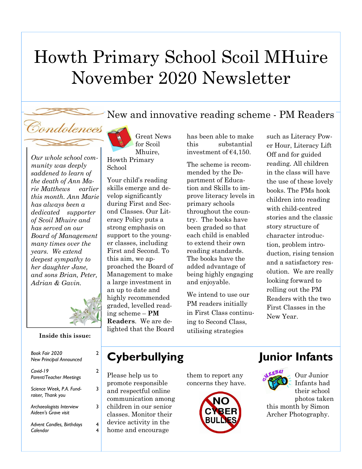# Howth Primary School Scoil MHuire November 2020 Newsletter







2

2

3

3

4 4

**Inside this issue:**

*Book Fair 2020 New Principal Announced Covid-19 Parent/Teacher Meetings Science Week, P.A. Fundraiser, Thank you Archaeologists Interview Aideen's Grave visit Advent Candles, Birthdays Calendar* 

Great News for Scoil Mhuire, Howth Primary School

Your child's reading skills emerge and develop significantly during First and Second Classes. Our Literacy Policy puts a strong emphasis on support to the younger classes, including First and Second. To this aim, we approached the Board of Management to make a large investment in an up to date and highly recommended graded, levelled reading scheme – **PM Readers**. We are delighted that the Board has been able to make this substantial investment of €4,150.

The scheme is recommended by the Department of Education and Skills to improve literacy levels in primary schools throughout the country. The books have been graded so that each child is enabled to extend their own reading standards. The books have the added advantage of being highly engaging and enjoyable.

We intend to use our PM readers initially in First Class continuing to Second Class, utilising strategies

such as Literacy Power Hour, Literacy Lift Off and for guided reading. All children in the class will have the use of these lovely books. The PMs hook children into reading with child-centred stories and the classic story structure of character introduction, problem introduction, rising tension and a satisfactory resolution. We are really looking forward to rolling out the PM Readers with the two First Classes in the New Year.

### **Cyberbullying Junior Infants**

Please help us to promote responsible and respectful online communication among children in our senior classes. Monitor their device activity in the home and encourage

them to report any concerns they have.



Our Junior Infants had their school photos taken this month by Simon Archer Photography.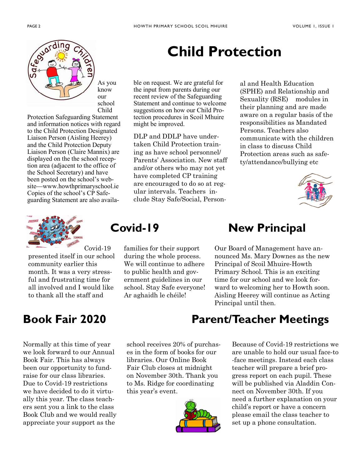

As you know our school Child

Protection Safeguarding Statement and information notices with regard to the Child Protection Designated Liaison Person (Aisling Heerey) and the Child Protection Deputy Liaison Person (Claire Mannix) are displayed on the the school reception area (adjacent to the office of the School Secretary) and have been posted on the school's website—www.howthprimaryschool.ie Copies of the school's CP Safeguarding Statement are also availa-



Covid-19 presented itself in our school community earlier this month. It was a very stressful and frustrating time for all involved and I would like to thank all the staff and

families for their support during the whole process. We will continue to adhere to public health and government guidelines in our school. Stay Safe everyone! Ar aghaidh le chéile!

## **Child Protection**

ble on request. We are grateful for the input from parents during our recent review of the Safeguarding Statement and continue to welcome suggestions on how our Child Protection procedures in Scoil Mhuire might be improved.

DLP and DDLP have undertaken Child Protection training as have school personnel/ Parents' Association. New staff and/or others who may not yet have completed CP training are encouraged to do so at regular intervals. Teachers include Stay Safe/Social, Personal and Health Education (SPHE) and Relationship and Sexuality (RSE) modules in their planning and are made aware on a regular basis of the responsibilities as Mandated Persons. Teachers also communicate with the children in class to discuss Child Protection areas such as safety/attendance/bullying etc



### **Covid-19 New Principal**

Our Board of Management have announced Ms. Mary Downes as the new Principal of Scoil Mhuire-Howth Primary School. This is an exciting time for our school and we look forward to welcoming her to Howth soon. Aisling Heerey will continue as Acting Principal until then.

Normally at this time of year we look forward to our Annual Book Fair. This has always been our opportunity to fundraise for our class libraries. Due to Covid-19 restrictions we have decided to do it virtually this year. The class teachers sent you a link to the class Book Club and we would really appreciate your support as the

school receives 20% of purchases in the form of books for our libraries. Our Online Book Fair Club closes at midnight on November 30th. Thank you to Ms. Ridge for coordinating this year's event.



### **Book Fair 2020 Parent/Teacher Meetings**

Because of Covid-19 restrictions we are unable to hold our usual face-to -face meetings. Instead each class teacher will prepare a brief progress report on each pupil. These will be published via Aladdin Connect on November 30th. If you need a further explanation on your child's report or have a concern please email the class teacher to set up a phone consultation.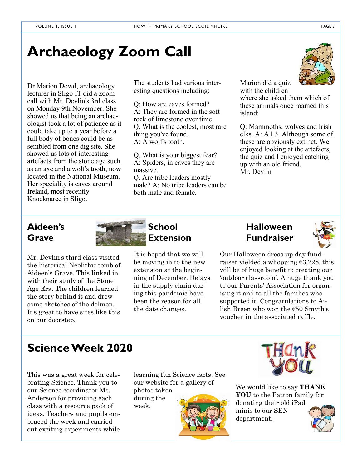## **Archaeology Zoom Call**

Dr Marion Dowd, archaeology lecturer in Sligo IT did a zoom call with Mr. Devlin's 3rd class on Monday 9th November. She showed us that being an archaeologist took a lot of patience as it could take up to a year before a full body of bones could be assembled from one dig site. She showed us lots of interesting artefacts from the stone age such as an axe and a wolf's tooth, now located in the National Museum. Her speciality is caves around Ireland, most recently Knocknaree in Sligo.

The students had various interesting questions including:

Q: How are caves formed? A: They are formed in the soft rock of limestone over time. Q. What is the coolest, most rare thing you've found. A: A wolf's tooth.

Q. What is your biggest fear? A: Spiders, in caves they are massive. Q. Are tribe leaders mostly

male? A: No tribe leaders can be both male and female.

Marion did a quiz with the children where she asked them which of these animals once roamed this island:

Q: Mammoths, wolves and Irish elks. A: All 3. Although some of these are obviously extinct. We enjoyed looking at the artefacts, the quiz and I enjoyed catching up with an old friend. Mr. Devlin

Mr. Devlin's third class visited the historical Neolithic tomb of Aideen's Grave. This linked in with their study of the Stone Age Era. The children learned the story behind it and drew some sketches of the dolmen. It's great to have sites like this on our doorstep.



It is hoped that we will be moving in to the new extension at the beginning of December. Delays in the supply chain during this pandemic have been the reason for all the date changes.



Our Halloween dress-up day fundraiser yielded a whopping  $\epsilon$ 3,228. this will be of huge benefit to creating our 'outdoor classroom'. A huge thank you to our Parents' Association for organising it and to all the families who supported it. Congratulations to Ailish Breen who won the €50 Smyth's voucher in the associated raffle.

### **Science Week 2020**

This was a great week for celebrating Science. Thank you to our Science coordinator Ms. Anderson for providing each class with a resource pack of ideas. Teachers and pupils embraced the week and carried out exciting experiments while learning fun Science facts. See our website for a gallery of photos taken

during the week.





We would like to say **THANK YOU** to the Patton family for donating their old iPad minis to our SEN department.